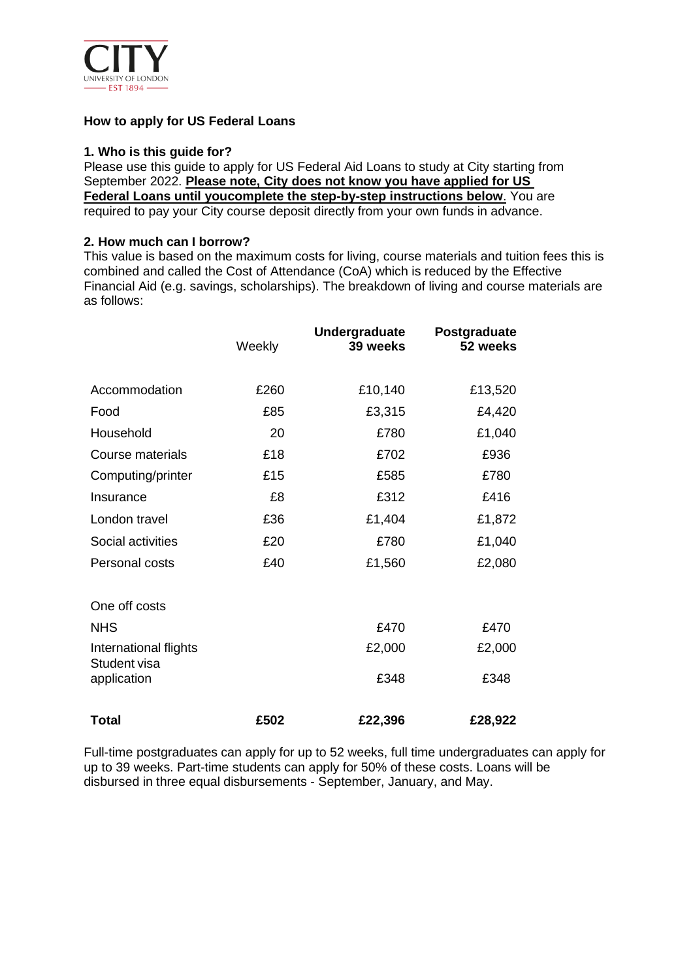

### **How to apply for US Federal Loans**

#### **1. Who is this guide for?**

Please use this guide to apply for US Federal Aid Loans to study at City starting from September 2022. **Please note, City does not know you have applied for US Federal Loans until youcomplete the step-by-step instructions below**. You are required to pay your City course deposit directly from your own funds in advance.

#### **2. How much can I borrow?**

This value is based on the maximum costs for living, course materials and tuition fees this is combined and called the Cost of Attendance (CoA) which is reduced by the Effective Financial Aid (e.g. savings, scholarships). The breakdown of living and course materials are as follows:

|                                       | Weekly | Undergraduate<br>39 weeks | Postgraduate<br>52 weeks |
|---------------------------------------|--------|---------------------------|--------------------------|
| Accommodation                         | £260   | £10,140                   | £13,520                  |
| Food                                  | £85    | £3,315                    | £4,420                   |
| Household                             | 20     | £780                      | £1,040                   |
| <b>Course materials</b>               | £18    | £702                      | £936                     |
| Computing/printer                     | £15    | £585                      | £780                     |
| Insurance                             | £8     | £312                      | £416                     |
| London travel                         | £36    | £1,404                    | £1,872                   |
| Social activities                     | £20    | £780                      | £1,040                   |
| Personal costs                        | £40    | £1,560                    | £2,080                   |
| One off costs                         |        |                           |                          |
| <b>NHS</b>                            |        | £470                      | £470                     |
| International flights<br>Student visa |        | £2,000                    | £2,000                   |
| application                           |        | £348                      | £348                     |
| Total                                 | £502   | £22,396                   | £28,922                  |

Full-time postgraduates can apply for up to 52 weeks, full time undergraduates can apply for up to 39 weeks. Part-time students can apply for 50% of these costs. Loans will be disbursed in three equal disbursements - September, January, and May.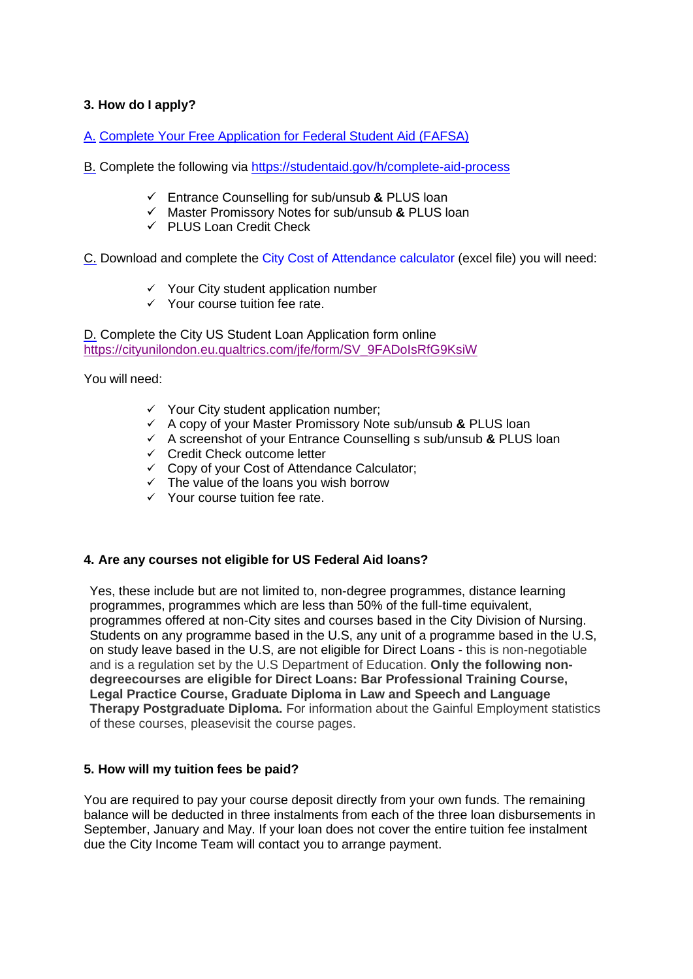# **3. How do I apply?**

A. Complete Your Free Application for Federal Student [Aid \(FAFSA\)](https://studentaid.gov/h/apply-for-aid/fafsa)

- B. Complete the following via <https://studentaid.gov/h/complete-aid-process>
	- ✓ Entrance Counselling for sub/unsub **&** PLUS loan
	- ✓ Master Promissory Notes for sub/unsub **&** PLUS loan
	- $\checkmark$  PLUS Loan Credit Check

C. Download and complete the City Cost of Attendance calculator (excel file) you will need:

- $\checkmark$  Your City student application number
- $\checkmark$  Your course tuition fee rate.

D. Complete the City US Student Loan Application form online [https://cityunilondon.eu.qualtrics.com/jfe/form/SV\\_9FADoIsRfG9KsiW](https://cityunilondon.eu.qualtrics.com/jfe/form/SV_9FADoIsRfG9KsiW)

You will need:

- $\checkmark$  Your City student application number;
- ✓ A copy of your Master Promissory Note sub/unsub **&** PLUS loan
- ✓ A screenshot of your Entrance Counselling s sub/unsub **&** PLUS loan
- ✓ Credit Check outcome letter
- ✓ Copy of your Cost of Attendance Calculator;
- ✓ The value of the loans you wish borrow
- ✓ Your course tuition fee rate.

### **4. Are any courses not eligible for US Federal Aid loans?**

Yes, these include but are not limited to, non-degree programmes, distance learning programmes, programmes which are less than 50% of the full-time equivalent, programmes offered at non-City sites and courses based in the City Division of Nursing. Students on any programme based in the U.S, any unit of a programme based in the U.S, on study leave based in the U.S, are not eligible for Direct Loans - this is non-negotiable and is a regulation set by the U.S Department of Education. **Only the following nondegreecourses are eligible for Direct Loans: Bar Professional Training Course, Legal Practice Course, Graduate Diploma in Law and Speech and Language Therapy Postgraduate Diploma.** For information about the Gainful Employment statistics of these courses, pleasevisit the course pages.

### **5. How will my tuition fees be paid?**

You are required to pay your course deposit directly from your own funds. The remaining balance will be deducted in three instalments from each of the three loan disbursements in September, January and May. If your loan does not cover the entire tuition fee instalment due the City Income Team will contact you to arrange payment.